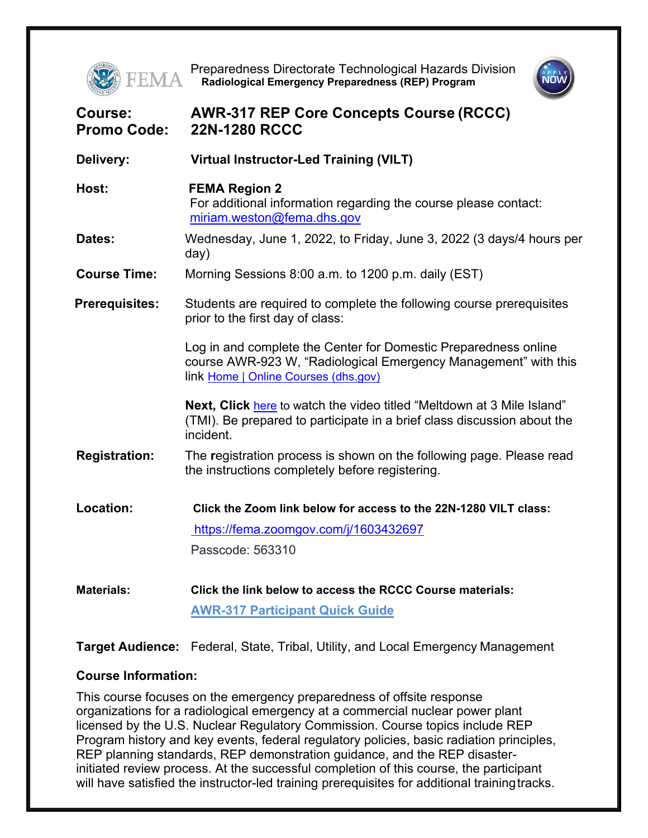

**FEMA** Preparedness Directorate Technological Hazards Division<br>**FEMA** Radiological Emergency Preparedness (REP) Program **Radiological Emergency Preparedness (REP) Program**



| Course:<br><b>Promo Code:</b> | <b>AWR-317 REP Core Concepts Course (RCCC)</b><br><b>22N-1280 RCCC</b>                                                                                                     |
|-------------------------------|----------------------------------------------------------------------------------------------------------------------------------------------------------------------------|
| Delivery:                     | <b>Virtual Instructor-Led Training (VILT)</b>                                                                                                                              |
| Host:                         | <b>FEMA Region 2</b><br>For additional information regarding the course please contact:<br>miriam.weston@fema.dhs.gov                                                      |
| Dates:                        | Wednesday, June 1, 2022, to Friday, June 3, 2022 (3 days/4 hours per<br>day)                                                                                               |
| <b>Course Time:</b>           | Morning Sessions 8:00 a.m. to 1200 p.m. daily (EST)                                                                                                                        |
| <b>Prerequisites:</b>         | Students are required to complete the following course prerequisites<br>prior to the first day of class:                                                                   |
|                               | Log in and complete the Center for Domestic Preparedness online<br>course AWR-923 W, "Radiological Emergency Management" with this<br>link Home   Online Courses (dhs.gov) |
|                               | Next, Click here to watch the video titled "Meltdown at 3 Mile Island"<br>(TMI). Be prepared to participate in a brief class discussion about the<br>incident.             |
| <b>Registration:</b>          | The registration process is shown on the following page. Please read<br>the instructions completely before registering.                                                    |
| Location:                     | Click the Zoom link below for access to the 22N-1280 VILT class:                                                                                                           |
|                               | https://fema.zoomgov.com/j/1603432697                                                                                                                                      |
|                               | Passcode: 563310                                                                                                                                                           |
| <b>Materials:</b>             | Click the link below to access the RCCC Course materials:                                                                                                                  |
|                               | <b>AWR-317 Participant Quick Guide</b>                                                                                                                                     |

**Target Audience:** Federal, State, Tribal, Utility, and Local Emergency Management

## **Course Information:**

This course focuses on the emergency preparedness of offsite response organizations for a radiological emergency at a commercial nuclear power plant licensed by the U.S. Nuclear Regulatory Commission. Course topics include REP Program history and key events, federal regulatory policies, basic radiation principles, REP planning standards, REP demonstration guidance, and the REP disasterinitiated review process. At the successful completion of this course, the participant will have satisfied the instructor-led training prerequisites for additional training tracks.